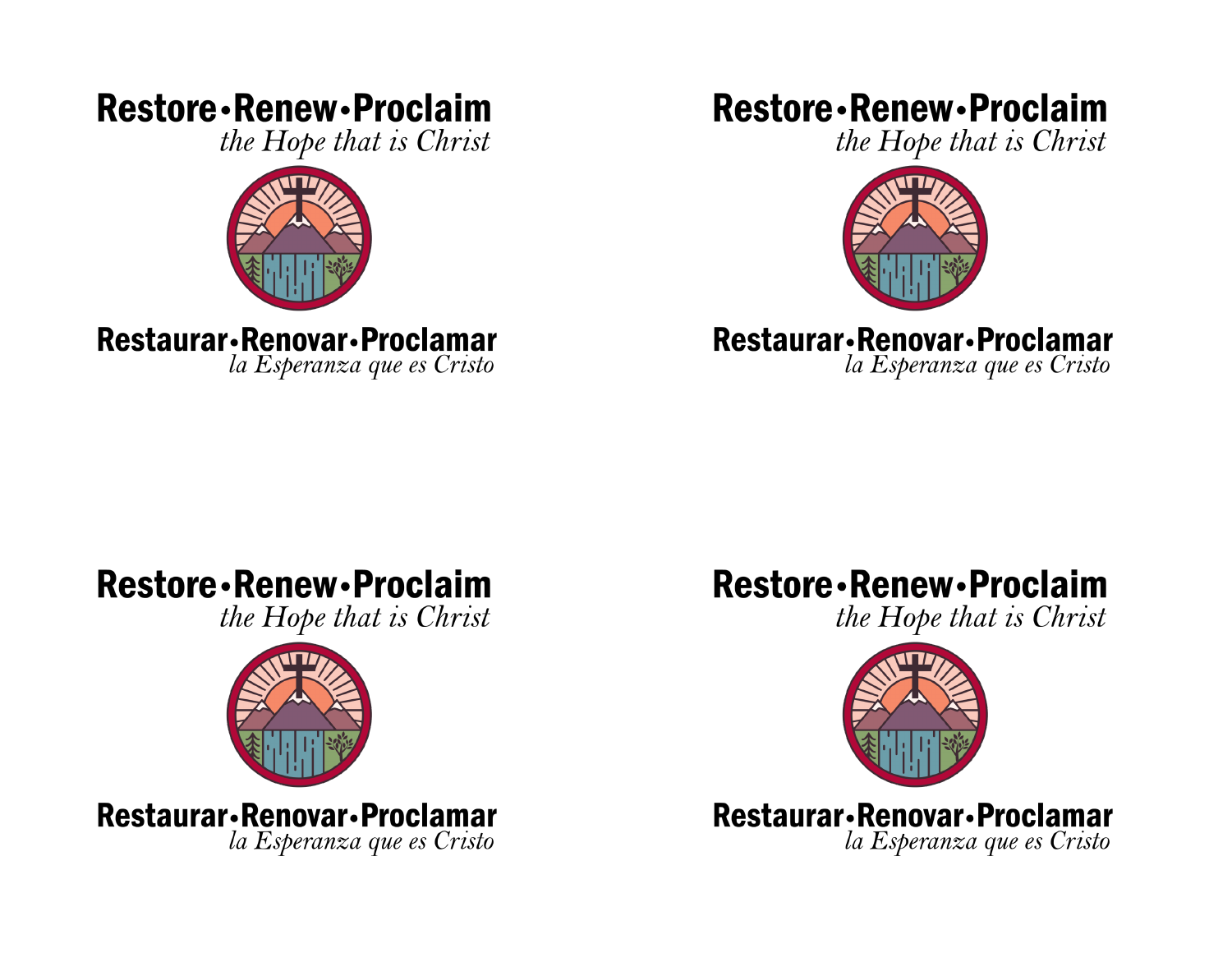## **Restore** - Renew - Proclaim

the Hope that is Christ



Restaurar-Renovar-Proclamar

la Esperanza que es Cristo

### **Restore** - Renew - Proclaim

the Hope that is Christ



### Restaurar-Renovar-Proclamar

la Esperanza que es Cristo

## **Restore** - Renew - Proclaim

the Hope that is Christ



Restaurar-Renovar-Proclamar la Esperanza que es Cristo

# **Restore** - Renew - Proclaim

the Hope that is Christ



Restaurar-Renovar-Proclamar la Esperanza que es Cristo